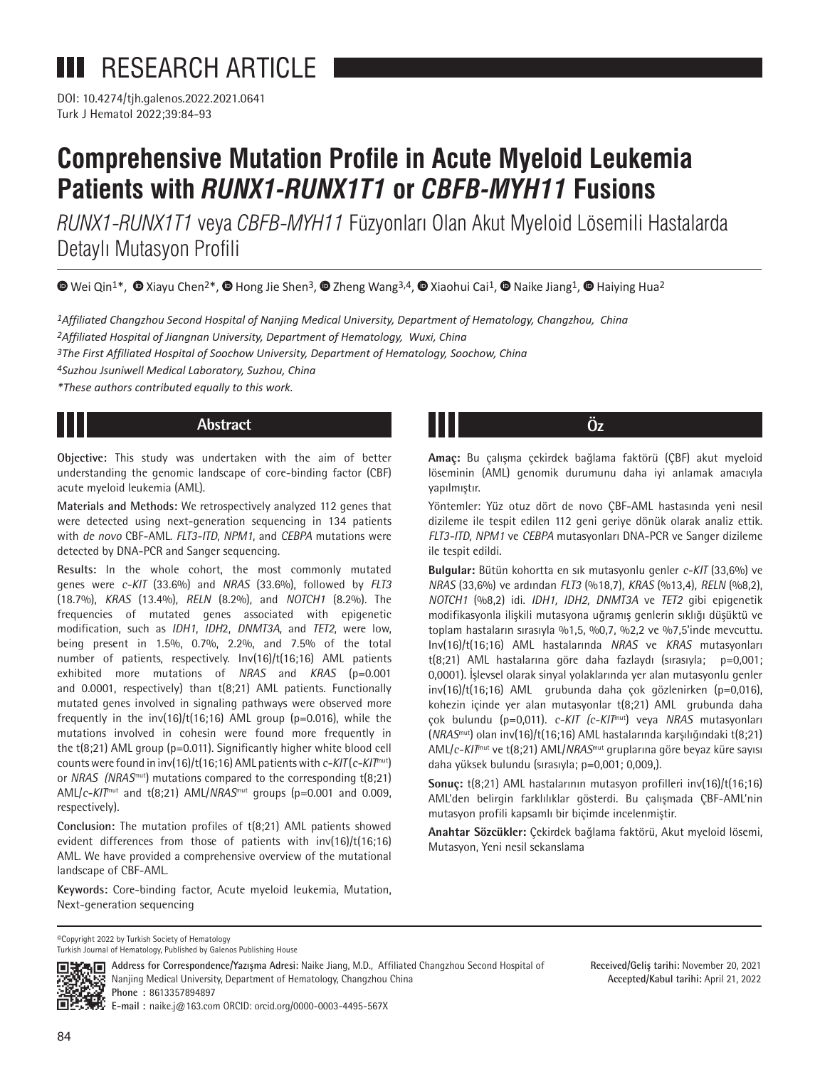**III** RESEARCH ARTICLE

Turk J Hematol 2022;39:84-93 DOI: 10.4274/tjh.galenos.2022.2021.0641

# **Comprehensive Mutation Profile in Acute Myeloid Leukemia Patients with** *RUNX1-RUNX1T1* **or** *CBFB-MYH11* **Fusions**

*RUNX1-RUNX1T1* veya *CBFB-MYH11* Füzyonları Olan Akut Myeloid Lösemili Hastalarda Detaylı Mutasyon Profili

 $\bullet$ Wei Qin1\*,  $\bullet$  Xiayu Chen<sup>2\*</sup>,  $\bullet$  [H](https://orcid.org/)ong Jie Shen<sup>3</sup>,  $\bullet$  Zheng Wang3,4,  $\bullet$  Xiaohui Cai<sup>1</sup>,  $\bullet$  Naike Jiang<sup>1</sup>,  $\bullet$  Haiying Hua<sup>2</sup>

*1Affiliated Changzhou Second Hospital of Nanjing Medical University, Department of Hematology, Changzhou, China*

*2Affiliated Hospital of Jiangnan University, Department of Hematology, Wuxi, China*

*3The First Affiliated Hospital of Soochow University, Department of Hematology, Soochow, China*

*4Suzhou Jsuniwell Medical Laboratory, Suzhou, China*

*\*These authors contributed equally to this work.*

# **Abstract Öz**

**Objective:**  This study was undertaken with the aim of better understanding the genomic landscape of core-binding factor (CBF) acute myeloid leukemia (AML).

**Materials and Methods:** We retrospectively analyzed 112 genes that were detected using next-generation sequencing in 134 patients with *de novo* CBF-AML. *FLT3-ITD*, *NPM1*, and *CEBPA* mutations were detected by DNA-PCR and Sanger sequencing.

**Results:** In the whole cohort, the most commonly mutated genes were *c-KIT* (33.6%) and *NRAS* (33.6%), followed by *FLT3* (18.7%), *KRAS* (13.4%), *RELN* (8.2%), and *NOTCH1* (8.2%). The frequencies of mutated genes associated with epigenetic modification, such as *IDH1*, *IDH*2, *DNMT3A*, and *TET2*, were low, being present in 1.5%, 0.7%, 2.2%, and 7.5% of the total number of patients, respectively. Inv(16)/t(16;16) AML patients exhibited more mutations of *NRAS* and *KRAS* (p=0.001 and 0.0001, respectively) than t(8;21) AML patients. Functionally mutated genes involved in signaling pathways were observed more frequently in the  $inv(16)/(t(16;16)$  AML group (p=0.016), while the mutations involved in cohesin were found more frequently in the t(8;21) AML group (p=0.011). Significantly higher white blood cell counts were found in inv(16)/t(16;16) AML patients with *c-KIT* (*c-KIT*mut) or *NRAS (NRAS*mut) mutations compared to the corresponding t(8;21) AML/*c-KIT*mut and t(8;21) AML/*NRAS*mut groups (p=0.001 and 0.009, respectively).

**Conclusion:** The mutation profiles of t(8;21) AML patients showed evident differences from those of patients with inv(16)/t(16;16) AML. We have provided a comprehensive overview of the mutational landscape of CBF-AML.

**Keywords:**  Core-binding factor, Acute myeloid leukemia, Mutation, Next-generation sequencing

**Amaç:** Bu çalışma çekirdek bağlama faktörü (ÇBF) akut myeloid löseminin (AML) genomik durumunu daha iyi anlamak amacıyla yapılmıştır.

Yöntemler: Yüz otuz dört de novo ÇBF-AML hastasında yeni nesil dizileme ile tespit edilen 112 geni geriye dönük olarak analiz ettik. *FLT3-ITD, NPM1* ve *CEBPA* mutasyonları DNA-PCR ve Sanger dizileme ile tespit edildi.

**Bulgular:** Bütün kohortta en sık mutasyonlu genler *c-KIT* (33,6%) ve *NRAS* (33,6%) ve ardından *FLT3* (%18,7), *KRAS* (%13,4), *RELN* (%8,2), *NOTCH1* (%8,2) idi. *IDH1, IDH2, DNMT3A* ve *TET2* gibi epigenetik modifikasyonla ilişkili mutasyona uğramış genlerin sıklığı düşüktü ve toplam hastaların sırasıyla %1,5, %0,7, %2,2 ve %7,5'inde mevcuttu. Inv(16)/t(16;16) AML hastalarında *NRAS* ve *KRAS* mutasyonları t(8;21) AML hastalarına göre daha fazlaydı (sırasıyla; p=0,001; 0,0001). İşlevsel olarak sinyal yolaklarında yer alan mutasyonlu genler  $inv(16)/t(16;16)$  AML grubunda daha çok gözlenirken (p=0,016), kohezin içinde yer alan mutasyonlar t(8;21) AML grubunda daha çok bulundu (p=0,011). *c-KIT (c-KIT*mut) veya *NRAS* mutasyonları (*NRAS*mut) olan inv(16)/t(16;16) AML hastalarında karşılığındaki t(8;21) AML/*c-KIT*mut ve t(8;21) AML/*NRAS*mut gruplarına göre beyaz küre sayısı daha yüksek bulundu (sırasıyla; p=0,001; 0,009,).

**Sonuç:** t(8;21) AML hastalarının mutasyon profilleri inv(16)/t(16;16) AML'den belirgin farklılıklar gösterdi. Bu çalışmada ÇBF-AML'nin mutasyon profili kapsamlı bir biçimde incelenmiştir.

**Anahtar Sözcükler:** Çekirdek bağlama faktörü, Akut myeloid lösemi, Mutasyon, Yeni nesil sekanslama

> **Received/Geliş tarihi:** November 20, 2021 **Accepted/Kabul tarihi:** April 21, 2022

©Copyright 2022 by Turkish Society of Hematology



**Address for Correspondence/Yazışma Adresi:** Naike Jiang, M.D., Affiliated Changzhou Second Hospital of Nanjing Medical University, Department of Hematology, Changzhou China **Phone :** 8613357894897

**E-mail :** naike.j@163.com ORCID: orcid.org/0000-0003-4495-567X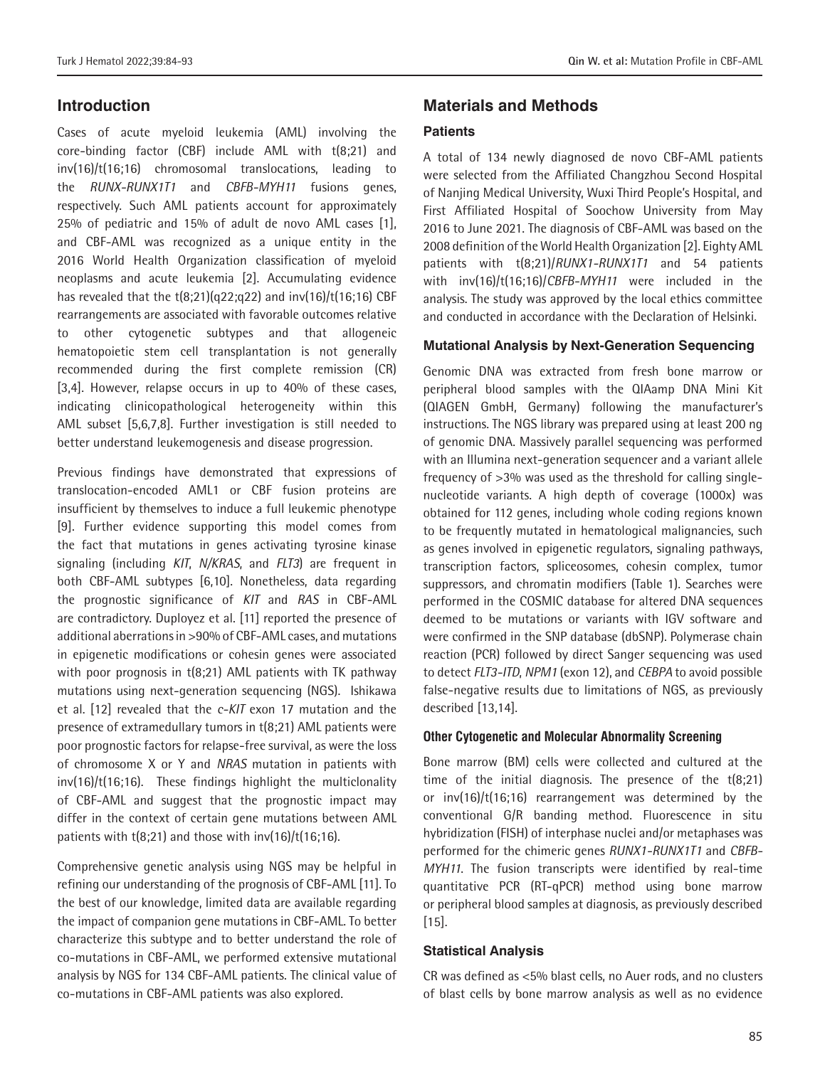# **Introduction**

Cases of acute myeloid leukemia (AML) involving the core-binding factor (CBF) include AML with t(8;21) and inv(16)/t(16;16) chromosomal translocations, leading to the *RUNX-RUNX1T1* and *CBFB-MYH11*  fusions genes, respectively. Such AML patients account for approximately 25% of pediatric and 15% of adult de novo AML cases [1], and CBF-AML was recognized as a unique entity in the 2016 World Health Organization classification of myeloid neoplasms and acute leukemia [2]. Accumulating evidence has revealed that the  $t(8;21)(q22;q22)$  and  $inv(16)/t(16;16)$  CBF rearrangements are associated with favorable outcomes relative to other cytogenetic subtypes and that allogeneic hematopoietic stem cell transplantation is not generally recommended during the first complete remission (CR) [3,4]. However, relapse occurs in up to 40% of these cases, indicating clinicopathological heterogeneity within this AML subset [5,6,7,8]. Further investigation is still needed to better understand leukemogenesis and disease progression.

Previous findings have demonstrated that expressions of translocation-encoded AML1 or CBF fusion proteins are insufficient by themselves to induce a full leukemic phenotype [9]. Further evidence supporting this model comes from the fact that mutations in genes activating tyrosine kinase signaling (including *KIT*, *N/KRAS*, and *FLT3*) are frequent in both CBF-AML subtypes [6,10]. Nonetheless, data regarding the prognostic significance of *KIT* and *RAS* in CBF-AML are contradictory. Duployez et al. [11] reported the presence of additional aberrations in >90% of CBF-AML cases, and mutations in epigenetic modifications or cohesin genes were associated with poor prognosis in t(8;21) AML patients with TK pathway mutations using next-generation sequencing (NGS). Ishikawa et al. [12] revealed that the *c-KIT* exon 17 mutation and the presence of extramedullary tumors in t(8;21) AML patients were poor prognostic factors for relapse-free survival, as were the loss of chromosome X or Y and *NRAS* mutation in patients with  $inv(16)/t(16;16)$ . These findings highlight the multiclonality of CBF-AML and suggest that the prognostic impact may differ in the context of certain gene mutations between AML patients with  $t(8,21)$  and those with inv(16)/ $t(16,16)$ .

Comprehensive genetic analysis using NGS may be helpful in refining our understanding of the prognosis of CBF-AML [11]. To the best of our knowledge, limited data are available regarding the impact of companion gene mutations in CBF-AML. To better characterize this subtype and to better understand the role of co-mutations in CBF-AML, we performed extensive mutational analysis by NGS for 134 CBF-AML patients. The clinical value of co-mutations in CBF-AML patients was also explored.

# **Materials and Methods**

#### **Patients**

A total of 134 newly diagnosed de novo CBF-AML patients were selected from the Affiliated Changzhou Second Hospital of Nanjing Medical University, Wuxi Third People's Hospital, and First Affiliated Hospital of Soochow University from May 2016 to June 2021. The diagnosis of CBF-AML was based on the 2008 definition of the World Health Organization [2]. Eighty AML patients with t(8;21)/*RUNX1-RUNX1T1* and 54 patients with inv(16)/t(16;16)/*CBFB-MYH11* were included in the analysis. The study was approved by the local ethics committee and conducted in accordance with the Declaration of Helsinki.

#### **Mutational Analysis by Next-Generation Sequencing**

Genomic DNA was extracted from fresh bone marrow or peripheral blood samples with the QIAamp DNA Mini Kit (QIAGEN GmbH, Germany) following the manufacturer's instructions. The NGS library was prepared using at least 200 ng of genomic DNA. Massively parallel sequencing was performed with an Illumina next-generation sequencer and a variant allele frequency of >3% was used as the threshold for calling singlenucleotide variants. A high depth of coverage (1000x) was obtained for 112 genes, including whole coding regions known to be frequently mutated in hematological malignancies, such as genes involved in epigenetic regulators, signaling pathways, transcription factors, spliceosomes, cohesin complex, tumor suppressors, and chromatin modifiers (Table 1). Searches were performed in the COSMIC database for altered DNA sequences deemed to be mutations or variants with IGV software and were confirmed in the SNP database (dbSNP). Polymerase chain reaction (PCR) followed by direct Sanger sequencing was used to detect *FLT3-ITD*, *NPM1* (exon 12), and *CEBPA* to avoid possible false-negative results due to limitations of NGS, as previously described [13,14].

#### **Other Cytogenetic and Molecular Abnormality Screening**

Bone marrow (BM) cells were collected and cultured at the time of the initial diagnosis. The presence of the t(8;21) or inv(16)/t(16;16) rearrangement was determined by the conventional G/R banding method. Fluorescence in situ hybridization (FISH) of interphase nuclei and/or metaphases was performed for the chimeric genes *RUNX1-RUNX1T1* and *CBFB-MYH11*. The fusion transcripts were identified by real-time quantitative PCR (RT-qPCR) method using bone marrow or peripheral blood samples at diagnosis, as previously described [15].

#### **Statistical Analysis**

CR was defined as <5% blast cells, no Auer rods, and no clusters of blast cells by bone marrow analysis as well as no evidence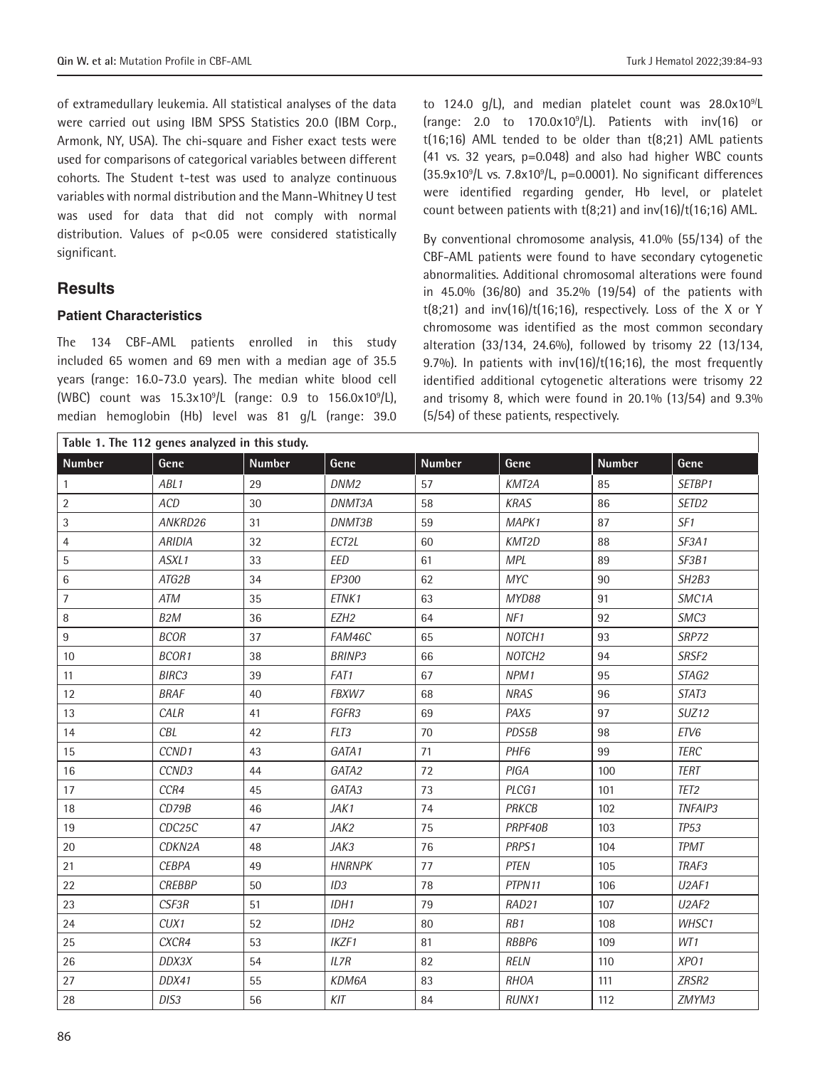of extramedullary leukemia. All statistical analyses of the data were carried out using IBM SPSS Statistics 20.0 (IBM Corp., Armonk, NY, USA). The chi-square and Fisher exact tests were used for comparisons of categorical variables between different cohorts. The Student t-test was used to analyze continuous variables with normal distribution and the Mann-Whitney U test was used for data that did not comply with normal distribution. Values of p<0.05 were considered statistically significant.

# **Results**

#### **Patient Characteristics**

The 134 CBF-AML patients enrolled in this study included 65 women and 69 men with a median age of 35.5 years (range: 16.0-73.0 years). The median white blood cell (WBC) count was 15.3x10<sup>9</sup> /L (range: 0.9 to 156.0x10<sup>9</sup> /L), median hemoglobin (Hb) level was 81 g/L (range: 39.0

to 124.0  $g/L$ , and median platelet count was 28.0x10<sup>9/</sup>L (range: 2.0 to  $170.0 \times 10^9$ /L). Patients with  $inv(16)$  or  $t(16;16)$  AML tended to be older than  $t(8;21)$  AML patients (41 vs. 32 years, p=0.048) and also had higher WBC counts  $(35.9x10<sup>9</sup>/L vs. 7.8x10<sup>9</sup>/L, p=0.0001).$  No significant differences were identified regarding gender, Hb level, or platelet count between patients with t(8;21) and inv(16)/t(16;16) AML.

By conventional chromosome analysis, 41.0% (55/134) of the CBF-AML patients were found to have secondary cytogenetic abnormalities. Additional chromosomal alterations were found in 45.0% (36/80) and 35.2% (19/54) of the patients with  $t(8;21)$  and  $inv(16)/t(16;16)$ , respectively. Loss of the X or Y chromosome was identified as the most common secondary alteration (33/134, 24.6%), followed by trisomy 22 (13/134, 9.7%). In patients with inv(16)/t(16;16), the most frequently identified additional cytogenetic alterations were trisomy 22 and trisomy 8, which were found in 20.1% (13/54) and 9.3% (5/54) of these patients, respectively.

| Table 1. The 112 genes analyzed in this study. |                  |               |                  |               |                    |               |                                |
|------------------------------------------------|------------------|---------------|------------------|---------------|--------------------|---------------|--------------------------------|
| <b>Number</b>                                  | Gene             | <b>Number</b> | Gene             | <b>Number</b> | Gene               | <b>Number</b> | Gene                           |
| $\mathbf{1}$                                   | ABL1             | 29            | DNM <sub>2</sub> | 57            | KMT2A              | 85            | SETBP1                         |
| $\overline{2}$                                 | ACD              | 30            | DNMT3A           | 58            | <b>KRAS</b>        | 86            | SETD <sub>2</sub>              |
| 3                                              | ANKRD26          | 31            | DNMT3B           | 59            | MAPK1              | 87            | SF1                            |
| 4                                              | <b>ARIDIA</b>    | 32            | ECT2L            | 60            | KMT2D              | 88            | SF3A1                          |
| 5                                              | ASXL1            | 33            | <b>EED</b>       | 61            | <b>MPL</b>         | 89            | SF3B1                          |
| 6                                              | ATG2B            | 34            | EP300            | 62            | MYC                | 90            | SH <sub>2</sub> B <sub>3</sub> |
| $\overline{7}$                                 | ATM              | 35            | ETNK1            | 63            | MYD88              | 91            | SMC <sub>1</sub> A             |
| 8                                              | B <sub>2</sub> M | 36            | EZH <sub>2</sub> | 64            | NF1                | 92            | SMC3                           |
| 9                                              | <b>BCOR</b>      | 37            | FAM46C           | 65            | NOTCH <sub>1</sub> | 93            | SRP72                          |
| 10                                             | BCOR1            | 38            | <b>BRINP3</b>    | 66            | NOTCH <sub>2</sub> | 94            | SRSF2                          |
| 11                                             | BIRC3            | 39            | FAT1             | 67            | NPM1               | 95            | STAG2                          |
| 12                                             | <b>BRAF</b>      | 40            | FBXW7            | 68            | <b>NRAS</b>        | 96            | STAT3                          |
| 13                                             | CALR             | 41            | FGFR3            | 69            | PAX5               | 97            | SUZ <sub>12</sub>              |
| 14                                             | CBL              | 42            | FLT3             | 70            | PDS5B              | 98            | ETV6                           |
| 15                                             | CCND1            | 43            | GATA1            | 71            | PHF <sub>6</sub>   | 99            | <b>TERC</b>                    |
| 16                                             | CCND3            | 44            | GATA2            | 72            | PIGA               | 100           | <b>TERT</b>                    |
| 17                                             | CCR4             | 45            | GATA3            | 73            | PLCG1              | 101           | TET <sub>2</sub>               |
| 18                                             | CD79B            | 46            | JAK1             | 74            | <b>PRKCB</b>       | 102           | TNFAIP3                        |
| 19                                             | CDC25C           | 47            | JAK2             | 75            | PRPF40B            | 103           | <b>TP53</b>                    |
| 20                                             | CDKN2A           | 48            | JAK3             | 76            | PRPS1              | 104           | <b>TPMT</b>                    |
| 21                                             | <b>CEBPA</b>     | 49            | <b>HNRNPK</b>    | 77            | <b>PTEN</b>        | 105           | TRAF3                          |
| 22                                             | <b>CREBBP</b>    | 50            | ID3              | 78            | PTPN11             | 106           | U <sub>2</sub> AF <sub>1</sub> |
| 23                                             | CSF3R            | 51            | IDH1             | 79            | RAD21              | 107           | U <sub>2</sub> AF <sub>2</sub> |
| 24                                             | CUX1             | 52            | IDH <sub>2</sub> | 80            | RB1                | 108           | WHSC1                          |
| 25                                             | CXCR4            | 53            | IKZF1            | 81            | RBBP6              | 109           | WT1                            |
| 26                                             | DDX3X            | 54            | IL7R             | 82            | <b>RELN</b>        | 110           | XPO1                           |
| 27                                             | DDX41            | 55            | KDM6A            | 83            | <b>RHOA</b>        | 111           | ZRSR2                          |
| 28                                             | DIS3             | 56            | KIT              | 84            | RUNX1              | 112           | ZMYM3                          |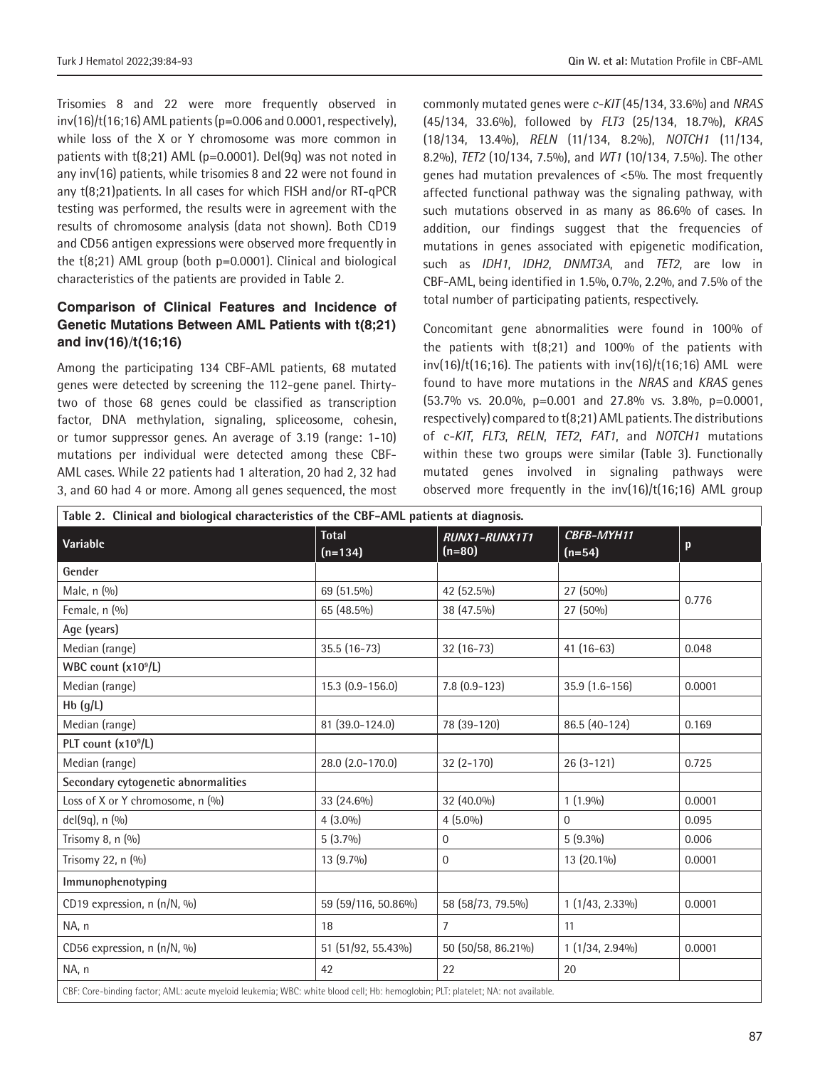Trisomies 8 and 22 were more frequently observed in  $inv(16)/t(16;16)$  AML patients (p=0.006 and 0.0001, respectively), while loss of the X or Y chromosome was more common in patients with  $t(8;21)$  AML ( $p=0.0001$ ). Del(9q) was not noted in any inv(16) patients, while trisomies 8 and 22 were not found in any t(8;21)patients. In all cases for which FISH and/or RT-qPCR testing was performed, the results were in agreement with the results of chromosome analysis (data not shown). Both CD19 and CD56 antigen expressions were observed more frequently in the  $t(8;21)$  AML group (both  $p=0.0001$ ). Clinical and biological characteristics of the patients are provided in Table 2.

## **Comparison of Clinical Features and Incidence of Genetic Mutations Between AML Patients with t(8;21) and inv(16)/t(16;16)**

Among the participating 134 CBF-AML patients, 68 mutated genes were detected by screening the 112-gene panel. Thirtytwo of those 68 genes could be classified as transcription factor, DNA methylation, signaling, spliceosome, cohesin, or tumor suppressor genes. An average of 3.19 (range: 1-10) mutations per individual were detected among these CBF-AML cases. While 22 patients had 1 alteration, 20 had 2, 32 had 3, and 60 had 4 or more. Among all genes sequenced, the most

commonly mutated genes were *c-KIT* (45/134, 33.6%) and *NRAS*  (45/134, 33.6%), followed by *FLT3* (25/134, 18.7%), *KRAS*  (18/134, 13.4%), *RELN* (11/134, 8.2%), *NOTCH1* (11/134, 8.2%), *TET2* (10/134, 7.5%), and *WT1* (10/134, 7.5%). The other genes had mutation prevalences of <5%. The most frequently affected functional pathway was the signaling pathway, with such mutations observed in as many as 86.6% of cases. In addition, our findings suggest that the frequencies of mutations in genes associated with epigenetic modification, such as *IDH1*, *IDH2*, *DNMT3A*, and *TET2*, are low in CBF-AML, being identified in 1.5%, 0.7%, 2.2%, and 7.5% of the total number of participating patients, respectively.

Concomitant gene abnormalities were found in 100% of the patients with t(8;21) and 100% of the patients with  $inv(16)/t(16;16)$ . The patients with  $inv(16)/t(16;16)$  AML were found to have more mutations in the *NRAS* and *KRAS* genes (53.7% vs. 20.0%, p=0.001 and 27.8% vs. 3.8%, p=0.0001, respectively) compared to t(8;21) AML patients. The distributions of *c-KIT*, *FLT3*, *RELN*, *TET2*, *FAT1*, and *NOTCH1* mutations within these two groups were similar (Table 3). Functionally mutated genes involved in signaling pathways were observed more frequently in the inv(16)/t(16;16) AML group

| Table 2. Clinical and biological characteristics of the CBF-AML patients at diagnosis.                                          |                                                        |                    |                        |        |  |  |  |
|---------------------------------------------------------------------------------------------------------------------------------|--------------------------------------------------------|--------------------|------------------------|--------|--|--|--|
| Variable                                                                                                                        | Total<br><b>RUNX1-RUNX1T1</b><br>$(n=80)$<br>$(n=134)$ |                    | CBFB-MYH11<br>$(n=54)$ | p      |  |  |  |
| Gender                                                                                                                          |                                                        |                    |                        |        |  |  |  |
| Male, n (%)                                                                                                                     | 69 (51.5%)                                             | 42 (52.5%)         | 27 (50%)               | 0.776  |  |  |  |
| Female, n (%)                                                                                                                   | 65 (48.5%)                                             | 38 (47.5%)         | 27 (50%)               |        |  |  |  |
| Age (years)                                                                                                                     |                                                        |                    |                        |        |  |  |  |
| Median (range)                                                                                                                  | 35.5 (16-73)                                           | $32(16-73)$        | $41(16-63)$            | 0.048  |  |  |  |
| WBC count (x10 <sup>9</sup> /L)                                                                                                 |                                                        |                    |                        |        |  |  |  |
| Median (range)                                                                                                                  | $15.3(0.9 - 156.0)$                                    | $7.8(0.9-123)$     | 35.9 (1.6-156)         | 0.0001 |  |  |  |
| $Hb$ (g/L)                                                                                                                      |                                                        |                    |                        |        |  |  |  |
| Median (range)                                                                                                                  | 81 (39.0-124.0)                                        | 78 (39-120)        | 86.5 (40-124)          | 0.169  |  |  |  |
| PLT count (x10 <sup>9</sup> /L)                                                                                                 |                                                        |                    |                        |        |  |  |  |
| Median (range)                                                                                                                  | 28.0 (2.0-170.0)                                       | $32(2-170)$        | $26(3-121)$            | 0.725  |  |  |  |
| Secondary cytogenetic abnormalities                                                                                             |                                                        |                    |                        |        |  |  |  |
| Loss of X or Y chromosome, n (%)                                                                                                | 33 (24.6%)                                             | 32 (40.0%)         | $1(1.9\%)$             | 0.0001 |  |  |  |
| del(9q), n (%)                                                                                                                  | $4(3.0\%)$                                             | $4(5.0\%)$         | $\Omega$               | 0.095  |  |  |  |
| Trisomy 8, n (%)                                                                                                                | $5(3.7\%)$                                             | $\Omega$           | $5(9.3\%)$             | 0.006  |  |  |  |
| Trisomy 22, n (%)                                                                                                               | 13 (9.7%)                                              | 0                  | 13 (20.1%)             | 0.0001 |  |  |  |
| Immunophenotyping                                                                                                               |                                                        |                    |                        |        |  |  |  |
| CD19 expression, n (n/N, %)                                                                                                     | 59 (59/116, 50.86%)                                    | 58 (58/73, 79.5%)  | $1(1/43, 2.33\%)$      | 0.0001 |  |  |  |
| NA, n                                                                                                                           | 18                                                     | $\overline{7}$     | 11                     |        |  |  |  |
| CD56 expression, n (n/N, %)                                                                                                     | 51 (51/92, 55.43%)                                     | 50 (50/58, 86.21%) | $1(1/34, 2.94\%)$      | 0.0001 |  |  |  |
| NA, n                                                                                                                           | 42                                                     | 22                 | 20                     |        |  |  |  |
| CBF: Core-binding factor; AML: acute myeloid leukemia; WBC: white blood cell; Hb: hemoglobin; PLT: platelet; NA: not available. |                                                        |                    |                        |        |  |  |  |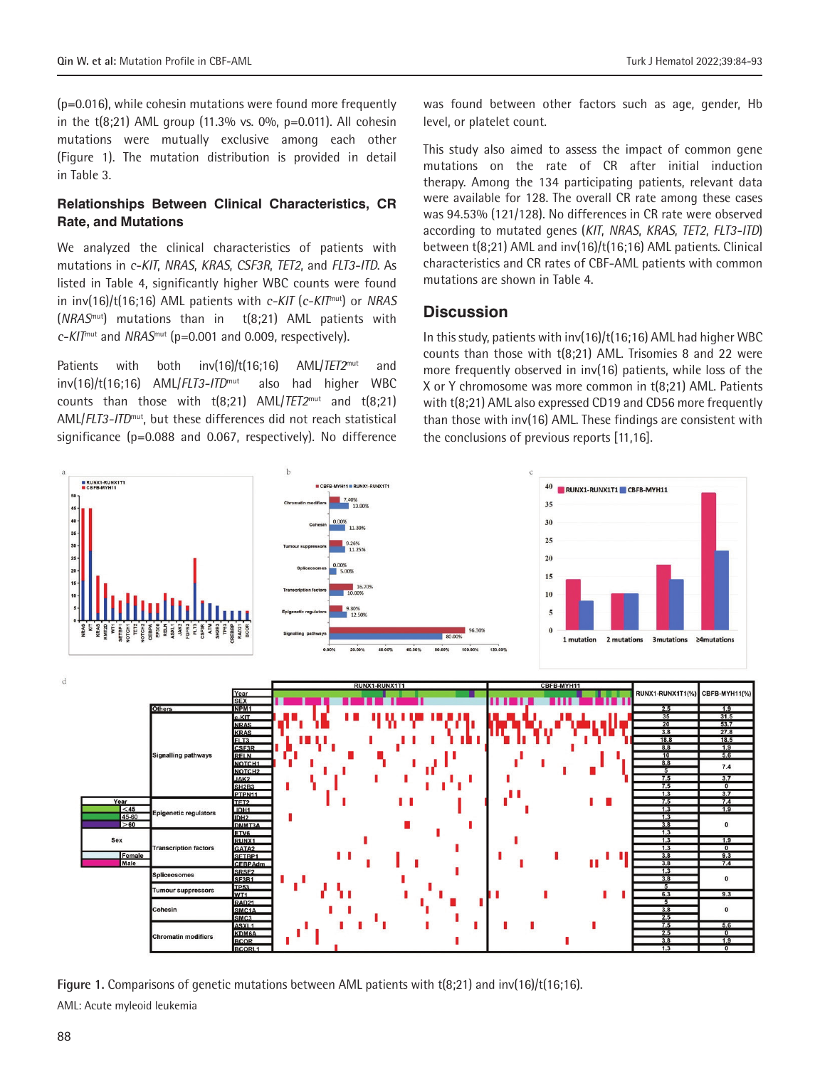(p=0.016), while cohesin mutations were found more frequently in the  $t(8;21)$  AML group (11.3% vs. 0%, p=0.011). All cohesin mutations were mutually exclusive among each other (Figure 1). The mutation distribution is provided in detail in Table 3.

## **Relationships Between Clinical Characteristics, CR Rate, and Mutations**

We analyzed the clinical characteristics of patients with mutations in *c-KIT*, *NRAS*, *KRAS*, *CSF3R*, *TET2*, and *FLT3-ITD*. As listed in Table 4, significantly higher WBC counts were found in inv(16)/t(16;16) AML patients with *c-KIT* (*c-KIT*mut) or *NRAS* (*NRAS*mut) mutations than in t(8;21) AML patients with *c-KIT*mut and *NRAS*mut (p=0.001 and 0.009, respectively).

Patients with both inv(16)/t(16;16) AML/*TET2*mut and inv(16)/t(16;16) AML/*FLT3-ITD*mut also had higher WBC counts than those with t(8;21) AML/*TET2*mut and t(8;21) AML/*FLT3-ITD*mut, but these differences did not reach statistical significance (p=0.088 and 0.067, respectively). No difference

was found between other factors such as age, gender, Hb level, or platelet count.

This study also aimed to assess the impact of common gene mutations on the rate of CR after initial induction therapy. Among the 134 participating patients, relevant data were available for 128. The overall CR rate among these cases was 94.53% (121/128). No differences in CR rate were observed according to mutated genes (*KIT*, *NRAS*, *KRAS*, *TET2*, *FLT3-ITD*) between t(8;21) AML and inv(16)/t(16;16) AML patients. Clinical characteristics and CR rates of CBF-AML patients with common mutations are shown in Table 4.

# **Discussion**

In this study, patients with inv(16)/t(16;16) AML had higher WBC counts than those with t(8;21) AML. Trisomies 8 and 22 were more frequently observed in inv(16) patients, while loss of the X or Y chromosome was more common in t(8;21) AML. Patients with t(8;21) AML also expressed CD19 and CD56 more frequently than those with inv(16) AML. These findings are consistent with the conclusions of previous reports [11,16].



**Figure 1.** Comparisons of genetic mutations between AML patients with t(8;21) and inv(16)/t(16;16). AML: Acute myleoid leukemia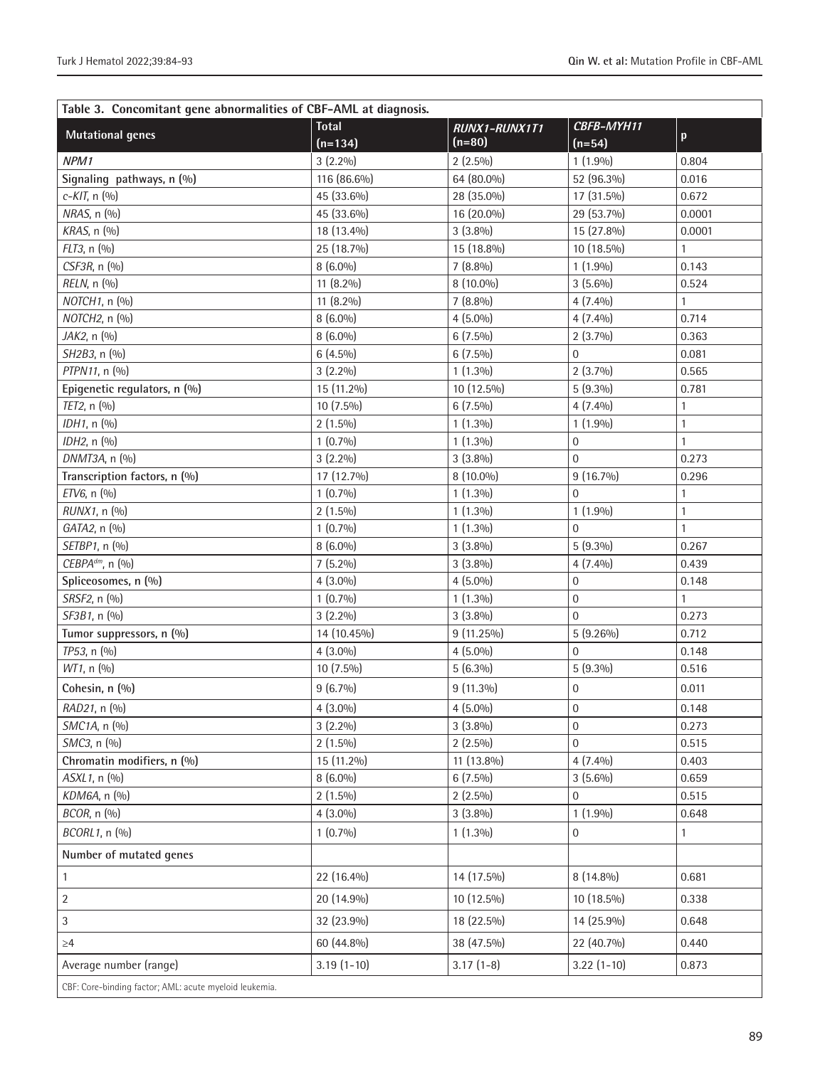| Table 3. Concomitant gene abnormalities of CBF-AML at diagnosis. |                           |                           |                        |              |  |  |
|------------------------------------------------------------------|---------------------------|---------------------------|------------------------|--------------|--|--|
| <b>Mutational genes</b>                                          | <b>Total</b><br>$(n=134)$ | RUNX1-RUNX1T1<br>$(n=80)$ | CBFB-MYH11<br>$(n=54)$ | p            |  |  |
| NPM1                                                             | $3(2.2\%)$                | $2(2.5\%)$                | $1(1.9\%)$             | 0.804        |  |  |
| Signaling pathways, n (%)                                        | 116 (86.6%)               | 64 (80.0%)                | 52 (96.3%)             | 0.016        |  |  |
| $c-KIT$ , n $(9/0)$                                              | 45 (33.6%)                | 28 (35.0%)                | 17 (31.5%)             | 0.672        |  |  |
| NRAS, n (%)                                                      | 45 (33.6%)                | 16 (20.0%)                | 29 (53.7%)             | 0.0001       |  |  |
| KRAS, n (%)                                                      | 18 (13.4%)                | $3(3.8\%)$                | 15 (27.8%)             | 0.0001       |  |  |
| FLT3, n (%)                                                      | 25 (18.7%)                | 15 (18.8%)                | 10 (18.5%)             | $\mathbf{1}$ |  |  |
| CSF3R, n (%)                                                     | $8(6.0\%)$                | $7(8.8\%)$                | $1(1.9\%)$             | 0.143        |  |  |
| RELN, n (%)                                                      | 11 (8.2%)                 | 8 (10.0%)                 | $3(5.6\%)$             | 0.524        |  |  |
| NOTCH1, n (%)                                                    | 11 (8.2%)                 | $7(8.8\%)$                | $4(7.4\%)$             | 1            |  |  |
| NOTCH2, n (%)                                                    | $8(6.0\%)$                | $4(5.0\%)$                | $4(7.4\%)$             | 0.714        |  |  |
| JAK2, n (%)                                                      | $8(6.0\%)$                | $6(7.5\%)$                | $2(3.7\%)$             | 0.363        |  |  |
| SH2B3, n (%)                                                     | $6(4.5\%)$                | $6(7.5\%)$                | $\mathbf{0}$           | 0.081        |  |  |
| PTPN11, n (%)                                                    | $3(2.2\%)$                | $1(1.3\%)$                | $2(3.7\%)$             | 0.565        |  |  |
| Epigenetic regulators, n (%)                                     | 15 (11.2%)                | 10 (12.5%)                | $5(9.3\%)$             | 0.781        |  |  |
| TET2, n (%)                                                      | 10 (7.5%)                 | $6(7.5\%)$                | $4(7.4\%)$             | $\mathbf{1}$ |  |  |
| IDH1, n (%)                                                      | $2(1.5\%)$                | $1(1.3\%)$                | $1(1.9\%)$             | $\mathbf{1}$ |  |  |
| IDH2, n (%)                                                      | $1(0.7\%)$                | $1(1.3\%)$                | $\mathbf 0$            | $\mathbf{1}$ |  |  |
| DNMT3A, n (%)                                                    | $3(2.2\%)$                | $3(3.8\%)$                | $\overline{0}$         | 0.273        |  |  |
| Transcription factors, n (%)                                     | 17 (12.7%)                | 8 (10.0%)                 | $9(16.7\%)$            | 0.296        |  |  |
| ETV6, n (%)                                                      | $1(0.7\%)$                | $1(1.3\%)$                | $\Omega$               | $\mathbf{1}$ |  |  |
| RUNX1, n (%)                                                     | $2(1.5\%)$                | $1(1.3\%)$                | $1(1.9\%)$             | $\mathbf{1}$ |  |  |
| GATA2, n (%)                                                     | $1(0.7\%)$                | $1(1.3\%)$                | 0                      | $\mathbf{1}$ |  |  |
| SETBP1, n (%)                                                    | $8(6.0\%)$                | $3(3.8\%)$                | $5(9.3\%)$             | 0.267        |  |  |
| CEBPAdm, n (%)                                                   | $7(5.2\%)$                | $3(3.8\%)$                | $4(7.4\%)$             | 0.439        |  |  |
| Spliceosomes, n (%)                                              | $4(3.0\%)$                | $4(5.0\%)$                | 0                      | 0.148        |  |  |
| SRSF2, n (%)                                                     | $1(0.7\%)$                | $1(1.3\%)$                | $\mathbf 0$            | $\mathbf{1}$ |  |  |
| SF3B1, n (%)                                                     | $3(2.2\%)$                | $3(3.8\%)$                | $\overline{0}$         | 0.273        |  |  |
| Tumor suppressors, n (%)                                         | 14 (10.45%)               | 9 (11.25%)                | $5(9.26\%)$            | 0.712        |  |  |
| TP53, n (%)                                                      | $4(3.0\%)$                | $4(5.0\%)$                | $\overline{0}$         | 0.148        |  |  |
| WT1, n (%)                                                       | 10 (7.5%)                 | $5(6.3\%)$                | $5(9.3\%)$             | 0.516        |  |  |
| Cohesin, n (%)                                                   | $9(6.7\%)$                | 9 (11.3%)                 | 0                      | 0.011        |  |  |
| RAD21, n (%)                                                     | $4(3.0\%)$                | $4(5.0\%)$                | $\boldsymbol{0}$       | 0.148        |  |  |
| SMC1A, n (%)                                                     | $3(2.2\%)$                | $3(3.8\%)$                | $\Omega$               | 0.273        |  |  |
| SMC3, n (%)                                                      | $2(1.5\%)$                | $2(2.5\%)$                | $\overline{0}$         | 0.515        |  |  |
| Chromatin modifiers, n (%)                                       | 15 (11.2%)                | 11 (13.8%)                | $4(7.4\%)$             | 0.403        |  |  |
| ASXL1, n (%)                                                     | $8(6.0\%)$                | $6(7.5\%)$                | $3(5.6\%)$             | 0.659        |  |  |
| KDM6A, n (%)                                                     | $2(1.5\%)$                | $2(2.5\%)$                | 0                      | 0.515        |  |  |
| BCOR, n (%)                                                      | $4(3.0\%)$                | $3(3.8\%)$                | $1(1.9\%)$             | 0.648        |  |  |
| BCORL1, n (%)                                                    | $1(0.7\%)$                | $1(1.3\%)$                | 0                      | $\mathbf{1}$ |  |  |
| Number of mutated genes                                          |                           |                           |                        |              |  |  |
| $\mathbf{1}$                                                     | 22 (16.4%)                | 14 (17.5%)                | $8(14.8\%)$            | 0.681        |  |  |
| $\overline{\mathbf{c}}$                                          | 20 (14.9%)                | 10 (12.5%)                | 10 (18.5%)             | 0.338        |  |  |
| 3                                                                | 32 (23.9%)                | 18 (22.5%)                | 14 (25.9%)             | 0.648        |  |  |
| $\geq 4$                                                         | 60 (44.8%)                | 38 (47.5%)                | 22 (40.7%)             | 0.440        |  |  |
| Average number (range)                                           | $3.19(1-10)$              | $3.17(1-8)$               | $3.22(1-10)$           | 0.873        |  |  |
| CBF: Core-binding factor; AML: acute myeloid leukemia.           |                           |                           |                        |              |  |  |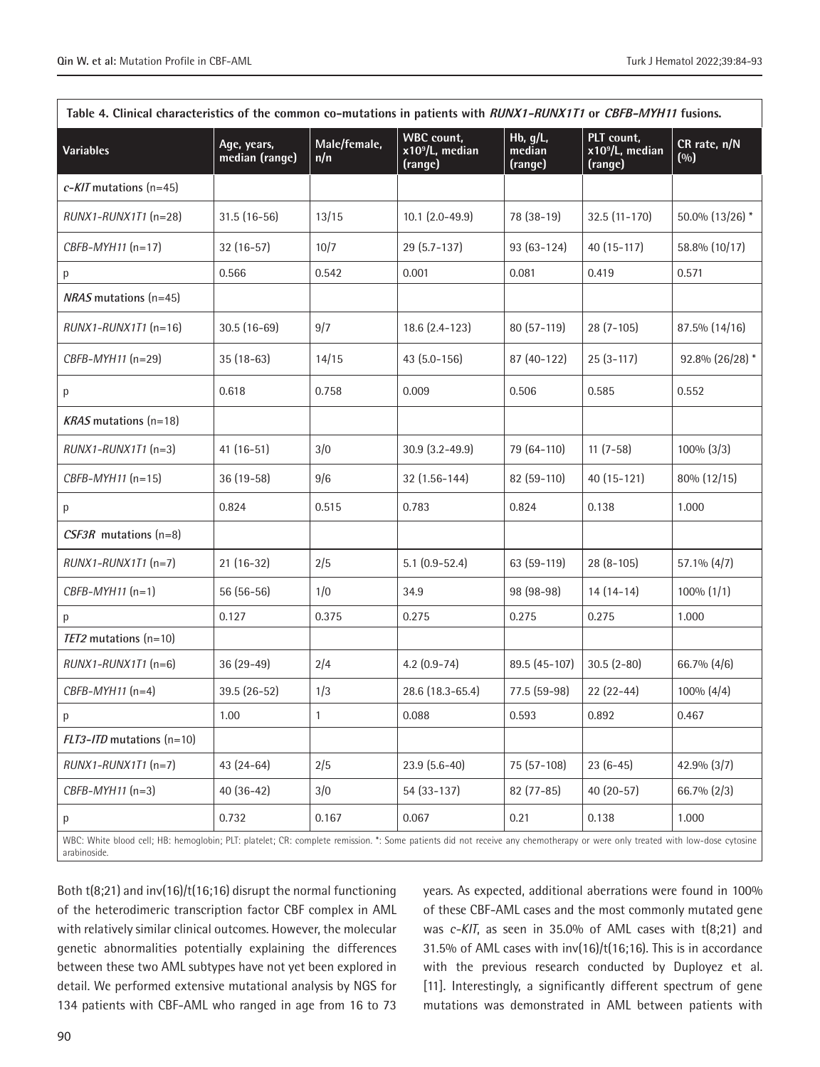| Table 4. Clinical characteristics of the common co-mutations in patients with RUNX1-RUNX1T1 or CBFB-MYH11 fusions.                                                                          |                               |                     |                                                             |                               |                                                      |                       |  |
|---------------------------------------------------------------------------------------------------------------------------------------------------------------------------------------------|-------------------------------|---------------------|-------------------------------------------------------------|-------------------------------|------------------------------------------------------|-----------------------|--|
| <b>Variables</b>                                                                                                                                                                            | Age, years,<br>median (range) | Male/female,<br>n/n | <b>WBC</b> count,<br>x10 <sup>9</sup> /L, median<br>(range) | Hb, g/L,<br>median<br>(range) | PLT count,<br>x10 <sup>9</sup> /L, median<br>(range) | CR rate, n/N<br>(0/0) |  |
| $c$ - <i>KIT</i> mutations (n=45)                                                                                                                                                           |                               |                     |                                                             |                               |                                                      |                       |  |
| $RUNX1-RUNK1T1$ (n=28)                                                                                                                                                                      | $31.5(16-56)$                 | 13/15               | $10.1$ $(2.0 - 49.9)$                                       | 78 (38-19)                    | 32.5 (11-170)                                        | 50.0% (13/26) *       |  |
| CBFB-MYH11 (n=17)                                                                                                                                                                           | $32(16-57)$                   | 10/7                | $29(5.7-137)$                                               | $93(63-124)$                  | 40 (15-117)                                          | 58.8% (10/17)         |  |
| p                                                                                                                                                                                           | 0.566                         | 0.542               | 0.001                                                       | 0.081                         | 0.419                                                | 0.571                 |  |
| $NRAS$ mutations (n=45)                                                                                                                                                                     |                               |                     |                                                             |                               |                                                      |                       |  |
| $RUNX1-RUNK1T1$ (n=16)                                                                                                                                                                      | $30.5(16-69)$                 | 9/7                 | 18.6 (2.4-123)                                              | 80 (57-119)                   | $28(7-105)$                                          | 87.5% (14/16)         |  |
| CBFB-MYH11 (n=29)                                                                                                                                                                           | $35(18-63)$                   | 14/15               | 43 (5.0-156)                                                | 87 (40-122)                   | $25(3-117)$                                          | 92.8% (26/28) *       |  |
| р                                                                                                                                                                                           | 0.618                         | 0.758               | 0.009                                                       | 0.506                         | 0.585                                                | 0.552                 |  |
| $KRAS$ mutations (n=18)                                                                                                                                                                     |                               |                     |                                                             |                               |                                                      |                       |  |
| $RUNX1-RUNK1T1$ (n=3)                                                                                                                                                                       | $41(16-51)$                   | 3/0                 | $30.9$ $(3.2 - 49.9)$                                       | 79 (64-110)                   | $11(7-58)$                                           | $100\%$ (3/3)         |  |
| CBFB-MYH11 (n=15)                                                                                                                                                                           | $36(19-58)$                   | 9/6                 | $32(1.56-144)$                                              | 82 (59-110)                   | 40 (15-121)                                          | 80% (12/15)           |  |
| р                                                                                                                                                                                           | 0.824                         | 0.515               | 0.783                                                       | 0.824                         | 0.138                                                | 1.000                 |  |
| $CSF3R$ mutations (n=8)                                                                                                                                                                     |                               |                     |                                                             |                               |                                                      |                       |  |
| $RUNX1-RUNX1T1$ (n=7)                                                                                                                                                                       | $21(16-32)$                   | 2/5                 | $5.1(0.9 - 52.4)$                                           | 63 (59-119)                   | $28(8-105)$                                          | $57.1\%$ (4/7)        |  |
| $CBFB-MYH11(n=1)$                                                                                                                                                                           | $56(56-56)$                   | 1/0                 | 34.9                                                        | 98 (98-98)                    | $14(14-14)$                                          | $100\%$ $(1/1)$       |  |
| р                                                                                                                                                                                           | 0.127                         | 0.375               | 0.275                                                       | 0.275                         | 0.275                                                | 1.000                 |  |
| $TET2$ mutations $(n=10)$                                                                                                                                                                   |                               |                     |                                                             |                               |                                                      |                       |  |
| $RUNX1-RUNK1T1$ (n=6)                                                                                                                                                                       | $36(29-49)$                   | 2/4                 | $4.2(0.9-74)$                                               | 89.5 (45-107)                 | $30.5(2-80)$                                         | 66.7% (4/6)           |  |
| CBFB-MYH11 (n=4)                                                                                                                                                                            | 39.5 (26-52)                  | 1/3                 | 28.6 (18.3-65.4)                                            | 77.5 (59-98)                  | $22(22-44)$                                          | $100\% (4/4)$         |  |
| р                                                                                                                                                                                           | 1.00                          | 1                   | 0.088                                                       | 0.593                         | 0.892                                                | 0.467                 |  |
| $FLT3-ITD$ mutations $(n=10)$                                                                                                                                                               |                               |                     |                                                             |                               |                                                      |                       |  |
| $RUNX1-RUNK1T1$ (n=7)                                                                                                                                                                       | $43(24-64)$                   | 2/5                 | $23.9(5.6-40)$                                              | 75 (57-108)                   | $23(6-45)$                                           | 42.9% (3/7)           |  |
| $CBFB-MYH11(n=3)$                                                                                                                                                                           | $40(36-42)$                   | 3/0                 | 54 (33-137)                                                 | $82(77-85)$                   | 40 (20-57)                                           | 66.7% (2/3)           |  |
| р                                                                                                                                                                                           | 0.732                         | 0.167               | 0.067                                                       | 0.21                          | 0.138                                                | 1.000                 |  |
| WBC: White blood cell; HB: hemoglobin; PLT: platelet; CR: complete remission. *: Some patients did not receive any chemotherapy or were only treated with low-dose cytosine<br>arabinoside. |                               |                     |                                                             |                               |                                                      |                       |  |

Both t(8;21) and inv(16)/t(16;16) disrupt the normal functioning of the heterodimeric transcription factor CBF complex in AML with relatively similar clinical outcomes. However, the molecular genetic abnormalities potentially explaining the differences between these two AML subtypes have not yet been explored in detail. We performed extensive mutational analysis by NGS for 134 patients with CBF-AML who ranged in age from 16 to 73

years. As expected, additional aberrations were found in 100% of these CBF-AML cases and the most commonly mutated gene was *c-KIT*, as seen in 35.0% of AML cases with t(8;21) and 31.5% of AML cases with inv(16)/t(16;16). This is in accordance with the previous research conducted by Duployez et al. [11]. Interestingly, a significantly different spectrum of gene mutations was demonstrated in AML between patients with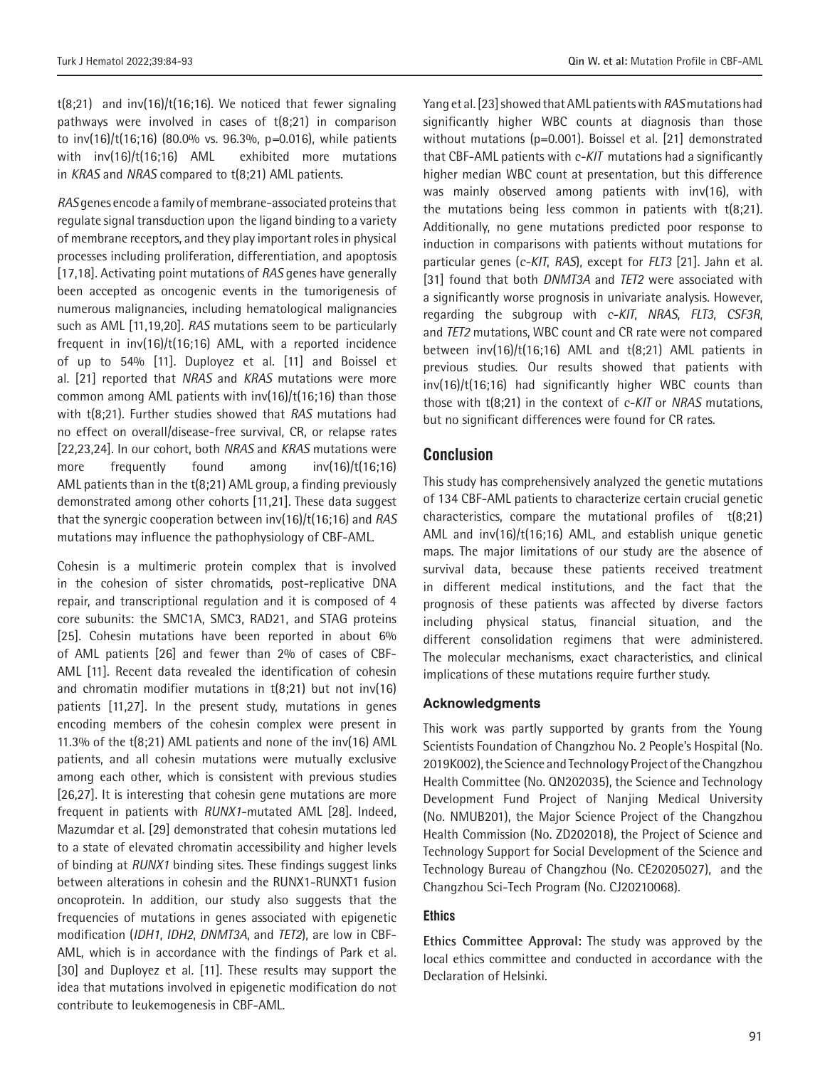$t(8;21)$  and  $inv(16)/t(16;16)$ . We noticed that fewer signaling pathways were involved in cases of t(8;21) in comparison to inv(16)/t(16;16) (80.0% vs. 96.3%, p*=*0.016), while patients with inv(16)/t(16;16) AML exhibited more mutations in *KRAS* and *NRAS* compared to t(8;21) AML patients.

*RAS* genes encode a family of membrane-associated proteins that regulate signal transduction upon the ligand binding to a variety of membrane receptors, and they play important roles in physical processes including proliferation, differentiation, and apoptosis [17,18]. Activating point mutations of *RAS* genes have generally been accepted as oncogenic events in the tumorigenesis of numerous malignancies, including hematological malignancies such as AML [11,19,20]. *RAS* mutations seem to be particularly frequent in inv(16)/t(16;16) AML, with a reported incidence of up to 54% [11]. Duployez et al. [11] and Boissel et al. [21] reported that *NRAS* and *KRAS* mutations were more common among AML patients with inv(16)/t(16;16) than those with t(8;21). Further studies showed that *RAS* mutations had no effect on overall/disease-free survival, CR, or relapse rates [22,23,24]. In our cohort, both *NRAS* and *KRAS* mutations were more frequently found among inv(16)/t(16;16) AML patients than in the t(8;21) AML group, a finding previously demonstrated among other cohorts [11,21]. These data suggest that the synergic cooperation between inv(16)/t(16;16) and *RAS* mutations may influence the pathophysiology of CBF-AML.

Cohesin is a multimeric protein complex that is involved in the cohesion of sister chromatids, post-replicative DNA repair, and transcriptional regulation and it is composed of 4 core subunits: the SMC1A, SMC3, RAD21, and STAG proteins [25]. Cohesin mutations have been reported in about 6% of AML patients [26] and fewer than 2% of cases of CBF-AML [11]. Recent data revealed the identification of cohesin and chromatin modifier mutations in t(8;21) but not inv(16) patients [11,27]. In the present study, mutations in genes encoding members of the cohesin complex were present in 11.3% of the t(8;21) AML patients and none of the inv(16) AML patients, and all cohesin mutations were mutually exclusive among each other, which is consistent with previous studies [26,27]. It is interesting that cohesin gene mutations are more frequent in patients with *RUNX1*-mutated AML [28]. Indeed, Mazumdar et al. [29] demonstrated that cohesin mutations led to a state of elevated chromatin accessibility and higher levels of binding at *RUNX1* binding sites. These findings suggest links between alterations in cohesin and the RUNX1-RUNXT1 fusion oncoprotein. In addition, our study also suggests that the frequencies of mutations in genes associated with epigenetic modification (*IDH1*, *IDH2*, *DNMT3A*, and *TET2*), are low in CBF-AML, which is in accordance with the findings of Park et al. [30] and Duployez et al. [11]. These results may support the idea that mutations involved in epigenetic modification do not contribute to leukemogenesis in CBF-AML.

Yang et al. [23] showed that AML patients with *RAS* mutations had significantly higher WBC counts at diagnosis than those without mutations (p=0.001). Boissel et al. [21] demonstrated that CBF-AML patients with *c-KIT* mutations had a significantly higher median WBC count at presentation, but this difference was mainly observed among patients with inv(16), with the mutations being less common in patients with t(8;21). Additionally, no gene mutations predicted poor response to induction in comparisons with patients without mutations for particular genes (*c-KIT*, *RAS*), except for *FLT3* [21]. Jahn et al. [31] found that both *DNMT3A* and *TET2* were associated with a significantly worse prognosis in univariate analysis. However, regarding the subgroup with *c-KIT*, *NRAS*, *FLT3*, *CSF3R*, and *TET2* mutations, WBC count and CR rate were not compared between  $inv(16)/t(16;16)$  AML and  $t(8;21)$  AML patients in previous studies. Our results showed that patients with inv(16)/t(16;16) had significantly higher WBC counts than those with t(8;21) in the context of *c-KIT* or *NRAS* mutations, but no significant differences were found for CR rates.

#### **Conclusion**

This study has comprehensively analyzed the genetic mutations of 134 CBF-AML patients to characterize certain crucial genetic characteristics, compare the mutational profiles of t(8;21) AML and inv(16)/t(16;16) AML, and establish unique genetic maps. The major limitations of our study are the absence of survival data, because these patients received treatment in different medical institutions, and the fact that the prognosis of these patients was affected by diverse factors including physical status, financial situation, and the different consolidation regimens that were administered. The molecular mechanisms, exact characteristics, and clinical implications of these mutations require further study.

#### **Acknowledgments**

This work was partly supported by grants from the Young Scientists Foundation of Changzhou No. 2 People's Hospital (No. 2019K002), the Science and Technology Project of the Changzhou Health Committee (No. QN202035), the Science and Technology Development Fund Project of Nanjing Medical University (No. NMUB201), the Major Science Project of the Changzhou Health Commission (No. ZD202018), the Project of Science and Technology Support for Social Development of the Science and Technology Bureau of Changzhou (No. CE20205027), and the Changzhou Sci-Tech Program (No. CJ20210068).

### **Ethics**

**Ethics Committee Approval:** The study was approved by the local ethics committee and conducted in accordance with the Declaration of Helsinki.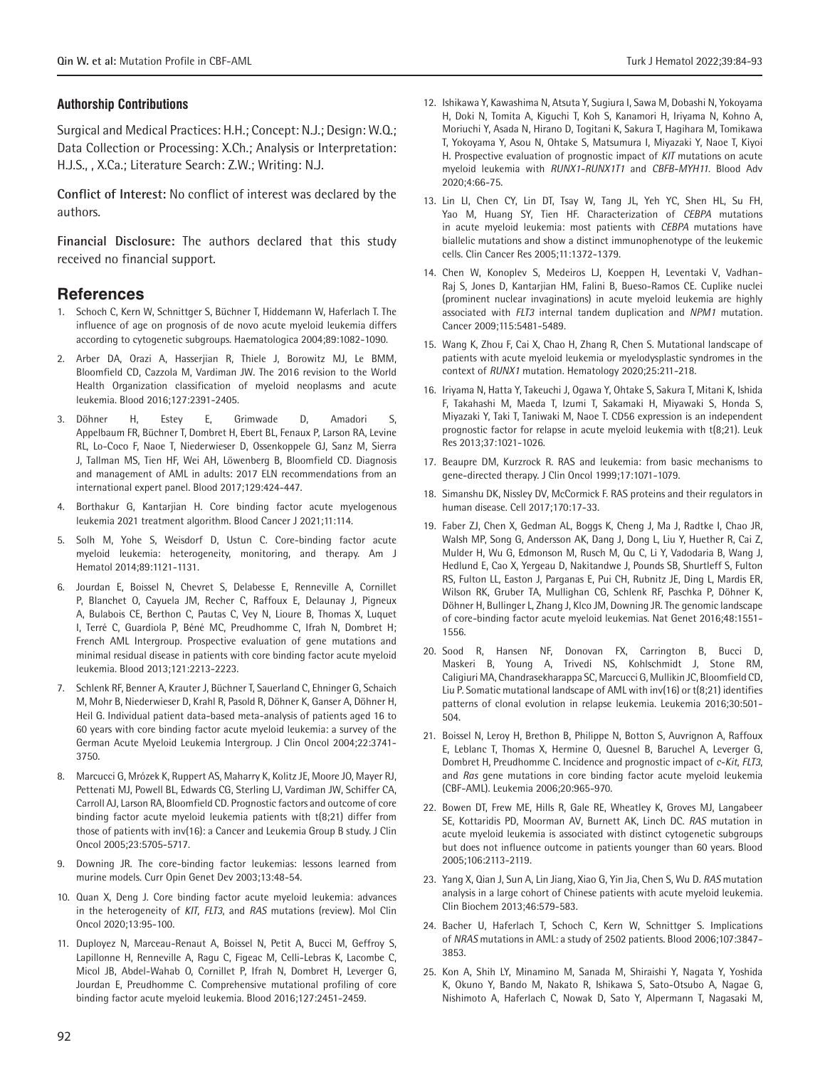#### **Authorship Contributions**

Surgical and Medical Practices: H.H.; Concept: N.J.; Design: W.Q.; Data Collection or Processing: X.Ch.; Analysis or Interpretation: H.J.S., , X.Ca.; Literature Search: Z.W.; Writing: N.J.

**Conflict of Interest:** No conflict of interest was declared by the authors.

**Financial Disclosure:** The authors declared that this study received no financial support.

## **References**

- 1. Schoch C, Kern W, Schnittger S, Büchner T, Hiddemann W, Haferlach T. The influence of age on prognosis of de novo acute myeloid leukemia differs according to cytogenetic subgroups. Haematologica 2004;89:1082-1090.
- 2. Arber DA, Orazi A, Hasserjian R, Thiele J, Borowitz MJ, Le BMM, Bloomfield CD, Cazzola M, Vardiman JW. The 2016 revision to the World Health Organization classification of myeloid neoplasms and acute leukemia. Blood 2016;127:2391-2405.
- Döhner H, Estey E, Grimwade D, Amadori S, Appelbaum FR, Büchner T, Dombret H, Ebert BL, Fenaux P, Larson RA, Levine RL, Lo-Coco F, Naoe T, Niederwieser D, Ossenkoppele GJ, Sanz M, Sierra J, Tallman MS, Tien HF, Wei AH, Löwenberg B, Bloomfield CD. Diagnosis and management of AML in adults: 2017 ELN recommendations from an international expert panel. Blood 2017;129:424-447.
- Borthakur G, Kantarjian H. Core binding factor acute myelogenous leukemia 2021 treatment algorithm. Blood Cancer J 2021;11:114.
- 5. Solh M, Yohe S, Weisdorf D, Ustun C. Core-binding factor acute myeloid leukemia: heterogeneity, monitoring, and therapy. Am J Hematol 2014;89:1121-1131.
- 6. Jourdan E, Boissel N, Chevret S, Delabesse E, Renneville A, Cornillet P, Blanchet O, Cayuela JM, Recher C, Raffoux E, Delaunay J, Pigneux A, Bulabois CE, Berthon C, Pautas C, Vey N, Lioure B, Thomas X, Luquet I, Terré C, Guardiola P, Béné MC, Preudhomme C, Ifrah N, Dombret H; French AML Intergroup. Prospective evaluation of gene mutations and minimal residual disease in patients with core binding factor acute myeloid leukemia. Blood 2013;121:2213-2223.
- 7. Schlenk RF, Benner A, Krauter J, Büchner T, Sauerland C, Ehninger G, Schaich M, Mohr B, Niederwieser D, Krahl R, Pasold R, Döhner K, Ganser A, Döhner H, Heil G. Individual patient data-based meta-analysis of patients aged 16 to 60 years with core binding factor acute myeloid leukemia: a survey of the German Acute Myeloid Leukemia Intergroup. J Clin Oncol 2004;22:3741- 3750.
- 8. Marcucci G, Mrózek K, Ruppert AS, Maharry K, Kolitz JE, Moore JO, Mayer RJ, Pettenati MJ, Powell BL, Edwards CG, Sterling LJ, Vardiman JW, Schiffer CA, Carroll AJ, Larson RA, Bloomfield CD. Prognostic factors and outcome of core binding factor acute myeloid leukemia patients with t(8;21) differ from those of patients with inv(16): a Cancer and Leukemia Group B study. J Clin Oncol 2005;23:5705-5717.
- 9. Downing JR. The core-binding factor leukemias: lessons learned from murine models. Curr Opin Genet Dev 2003;13:48-54.
- 10. Quan X, Deng J. Core binding factor acute myeloid leukemia: advances in the heterogeneity of *KIT*, *FLT3*, and *RAS* mutations (review). Mol Clin Oncol 2020;13:95-100.
- 11. Duployez N, Marceau-Renaut A, Boissel N, Petit A, Bucci M, Geffroy S, Lapillonne H, Renneville A, Ragu C, Figeac M, Celli-Lebras K, Lacombe C, Micol JB, Abdel-Wahab O, Cornillet P, Ifrah N, Dombret H, Leverger G, Jourdan E, Preudhomme C. Comprehensive mutational profiling of core binding factor acute myeloid leukemia. Blood 2016;127:2451-2459.
- 12. Ishikawa Y, Kawashima N, Atsuta Y, Sugiura I, Sawa M, Dobashi N, Yokoyama H, Doki N, Tomita A, Kiguchi T, Koh S, Kanamori H, Iriyama N, Kohno A, Moriuchi Y, Asada N, Hirano D, Togitani K, Sakura T, Hagihara M, Tomikawa T, Yokoyama Y, Asou N, Ohtake S, Matsumura I, Miyazaki Y, Naoe T, Kiyoi H. Prospective evaluation of prognostic impact of *KIT* mutations on acute myeloid leukemia with *RUNX1-RUNX1T1* and *CBFB-MYH11*. Blood Adv 2020;4:66-75.
- 13. Lin LI, Chen CY, Lin DT, Tsay W, Tang JL, Yeh YC, Shen HL, Su FH, Yao M, Huang SY, Tien HF. Characterization of *CEBPA* mutations in acute myeloid leukemia: most patients with *CEBPA* mutations have biallelic mutations and show a distinct immunophenotype of the leukemic cells. Clin Cancer Res 2005;11:1372-1379.
- 14. Chen W, Konoplev S, Medeiros LJ, Koeppen H, Leventaki V, Vadhan-Raj S, Jones D, Kantarjian HM, Falini B, Bueso-Ramos CE. Cuplike nuclei (prominent nuclear invaginations) in acute myeloid leukemia are highly associated with *FLT3* internal tandem duplication and *NPM1*  mutation. Cancer 2009;115:5481-5489.
- 15. Wang K, Zhou F, Cai X, Chao H, Zhang R, Chen S. Mutational landscape of patients with acute myeloid leukemia or myelodysplastic syndromes in the context of *RUNX1* mutation. Hematology 2020;25:211-218.
- 16. Iriyama N, Hatta Y, Takeuchi J, Ogawa Y, Ohtake S, Sakura T, Mitani K, Ishida F, Takahashi M, Maeda T, Izumi T, Sakamaki H, Miyawaki S, Honda S, Miyazaki Y, Taki T, Taniwaki M, Naoe T. CD56 expression is an independent prognostic factor for relapse in acute myeloid leukemia with t(8;21). Leuk Res 2013;37:1021-1026.
- 17. Beaupre DM, Kurzrock R. RAS and leukemia: from basic mechanisms to gene-directed therapy. J Clin Oncol 1999;17:1071-1079.
- 18. Simanshu DK, Nissley DV, McCormick F. RAS proteins and their regulators in human disease. Cell 2017;170:17-33.
- 19. Faber ZJ, Chen X, Gedman AL, Boggs K, Cheng J, Ma J, Radtke I, Chao JR, Walsh MP, Song G, Andersson AK, Dang J, Dong L, Liu Y, Huether R, Cai Z, Mulder H, Wu G, Edmonson M, Rusch M, Qu C, Li Y, Vadodaria B, Wang J, Hedlund E, Cao X, Yergeau D, Nakitandwe J, Pounds SB, Shurtleff S, Fulton RS, Fulton LL, Easton J, Parganas E, Pui CH, Rubnitz JE, Ding L, Mardis ER, Wilson RK, Gruber TA, Mullighan CG, Schlenk RF, Paschka P, Döhner K, Döhner H, Bullinger L, Zhang J, Klco JM, Downing JR. The genomic landscape of core-binding factor acute myeloid leukemias. Nat Genet 2016;48:1551- 1556.
- 20. Sood R, Hansen NF, Donovan FX, Carrington B, Bucci D, Maskeri B, Young A, Trivedi NS, Kohlschmidt J, Stone RM, Caligiuri MA, Chandrasekharappa SC, Marcucci G, Mullikin JC, Bloomfield CD, Liu P. Somatic mutational landscape of AML with inv(16) or t(8;21) identifies patterns of clonal evolution in relapse leukemia. Leukemia 2016;30:501- 504.
- 21. Boissel N, Leroy H, Brethon B, Philippe N, Botton S, Auvrignon A, Raffoux E, Leblanc T, Thomas X, Hermine O, Quesnel B, Baruchel A, Leverger G, Dombret H, Preudhomme C. Incidence and prognostic impact of *c-Kit*, *FLT3*, and *Ras*  gene mutations in core binding factor acute myeloid leukemia (CBF-AML). Leukemia 2006;20:965-970.
- 22. Bowen DT, Frew ME, Hills R, Gale RE, Wheatley K, Groves MJ, Langabeer SE, Kottaridis PD, Moorman AV, Burnett AK, Linch DC. *RAS* mutation in acute myeloid leukemia is associated with distinct cytogenetic subgroups but does not influence outcome in patients younger than 60 years. Blood 2005;106:2113-2119.
- 23. Yang X, Qian J, Sun A, Lin Jiang, Xiao G, Yin Jia, Chen S, Wu D. *RAS* mutation analysis in a large cohort of Chinese patients with acute myeloid leukemia. Clin Biochem 2013;46:579-583.
- 24. Bacher U, Haferlach T, Schoch C, Kern W, Schnittger S. Implications of *NRAS* mutations in AML: a study of 2502 patients. Blood 2006;107:3847- 3853.
- 25. Kon A, Shih LY, Minamino M, Sanada M, Shiraishi Y, Nagata Y, Yoshida K, Okuno Y, Bando M, Nakato R, Ishikawa S, Sato-Otsubo A, Nagae G, Nishimoto A, Haferlach C, Nowak D, Sato Y, Alpermann T, Nagasaki M,